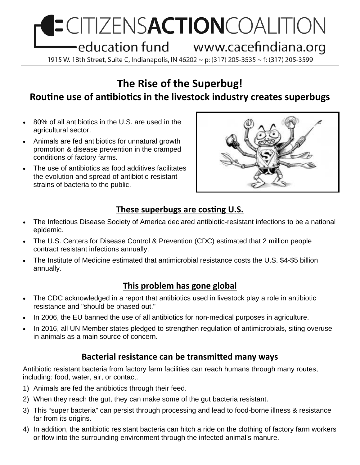# **ECITIZENSACTIONCOALITION** education fund www.cacefindiana.org

1915 W. 18th Street, Suite C, Indianapolis, IN 46202 ~ p: (317) 205-3535 ~ f: (317) 205-3599

## **The Rise of the Superbug! RouƟne use of anƟbioƟcs in the livestock industry creates superbugs**

- 80% of all antibiotics in the U.S. are used in the agricultural sector.
- Animals are fed antibiotics for unnatural growth promotion & disease prevention in the cramped conditions of factory farms.
- The use of antibiotics as food additives facilitates the evolution and spread of antibiotic-resistant strains of bacteria to the public.



#### **These superbugs are costing U.S.**

- The Infectious Disease Society of America declared antibiotic-resistant infections to be a national epidemic.
- The U.S. Centers for Disease Control & Prevention (CDC) estimated that 2 million people contract resistant infections annually.
- The Institute of Medicine estimated that antimicrobial resistance costs the U.S. \$4-\$5 billion annually.

#### **This problem has gone global**

- The CDC acknowledged in a report that antibiotics used in livestock play a role in antibiotic resistance and "should be phased out."
- In 2006, the EU banned the use of all antibiotics for non-medical purposes in agriculture.
- In 2016, all UN Member states pledged to strengthen regulation of antimicrobials, siting overuse in animals as a main source of concern.

#### **Bacterial resistance can be transmitted many ways**

Antibiotic resistant bacteria from factory farm facilities can reach humans through many routes, including: food, water, air, or contact.

- 1) Animals are fed the antibiotics through their feed.
- 2) When they reach the gut, they can make some of the gut bacteria resistant.
- 3) This "super bacteria" can persist through processing and lead to food-borne illness & resistance far from its origins.
- 4) In addition, the antibiotic resistant bacteria can hitch a ride on the clothing of factory farm workers or flow into the surrounding environment through the infected animal's manure.